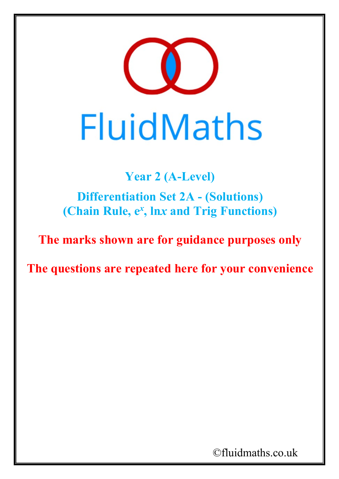

**Year 2 (A-Level) Differentiation Set 2A - (Solutions) (Chain Rule, e***<sup>x</sup>* **, ln***x* **and Trig Functions)**

**The marks shown are for guidance purposes only**

**The questions are repeated here for your convenience**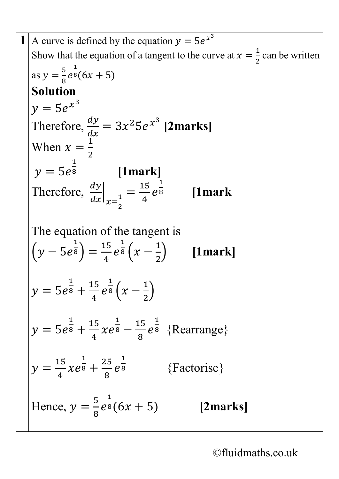**1** A curve is defined by the equation  $y = 5e^{\overline{x^3}}$ Show that the equation of a tangent to the curve at  $x = \frac{1}{2}$ 2 can be written as  $y = \frac{5}{8}$  $\frac{1}{8}$ e  $\overline{1}$  $8(6x + 5)$ **Solution**  $v = 5e^{x^3}$ Therefore,  $\frac{dy}{dx}$  $\frac{d}{1}$  $= 3x^2 5e^{x^3}$  [2marks] When  $x = \frac{1}{2}$ 2  $y = 5e$  $\overline{1}$ <sup>8</sup> **[1mark]** Therefore,  $\frac{dy}{dx}$  $\frac{z}{dx}\big|_{x=\frac{1}{2}} =$ 2 15 4  $\boldsymbol{e}$  $\overline{\mathsf{1}}$ <sup>8</sup> **[1mark** The equation of the tangent is  $(y - 5e$ 1  $^{8}$  )  $=$ 15 4  $\boldsymbol{e}$  $rac{1}{8}\left(x-\frac{1}{2}\right)$ 2 � **[1mark]**  $y = 5e$  $rac{1}{8} + \frac{15}{4}$ 4  $\boldsymbol{e}$  $rac{1}{8}\left(x-\frac{1}{2}\right)$ 2  $\int$  $y = 5e$  $rac{1}{8} + \frac{15}{4}$ 4  $\chi$ e  $rac{1}{8} - \frac{15}{8}$ 8  $\boldsymbol{e}$  $\overline{1}$ <sup>8</sup> {Rearrange}  $y =$ 15 4  $\chi$ e  $rac{1}{8} + \frac{25}{8}$ 8  $\boldsymbol{e}$  $\overline{-}$ <sup>8</sup> {Factorise} Hence,  $y = \frac{5}{8}$ 8  $\boldsymbol{e}$  $\overline{\phantom{1}}$  $\frac{1}{8}(6x + 5)$  [2marks]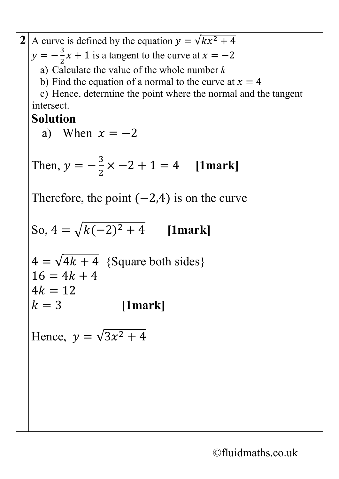2 A curve is defined by the equation 
$$
y = \sqrt{kx^2 + 4}
$$
  
\n $y = -\frac{3}{2}x + 1$  is a tangent to the curve at  $x = -2$   
\na) Calculate the value of the whole number k  
\nb) Find the equation of a normal to the curve at  $x = 4$   
\nc) Hence, determine the point where the normal and the tangent  
\nintersect.  
\n**Solution**  
\na) When  $x = -2$   
\nThen,  $y = -\frac{3}{2} \times -2 + 1 = 4$  [1mark]  
\nTherefore, the point (-2,4) is on the curve  
\nSo,  $4 = \sqrt{k(-2)^2 + 4}$  [1mark]  
\n $4 = \sqrt{4k + 4}$  {Square both sides}  
\n $16 = 4k + 4$   
\n $4k = 12$   
\n $k = 3$  [1mark]  
\nHence,  $y = \sqrt{3x^2 + 4}$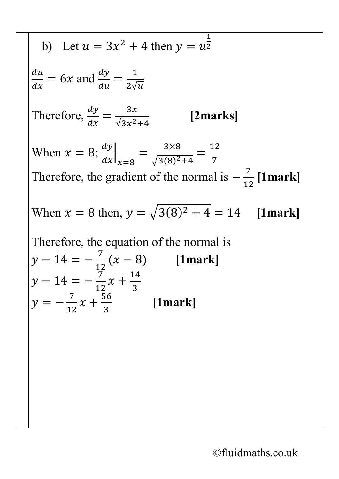b) Let 
$$
u = 3x^2 + 4
$$
 then  $y = u^{\frac{1}{2}}$   
\n
$$
\frac{du}{dx} = 6x
$$
 and 
$$
\frac{dy}{du} = \frac{1}{2\sqrt{u}}
$$
\nTherefore, 
$$
\frac{dy}{dx} = \frac{3x}{\sqrt{3x^2 + 4}}
$$
 [2marks]  
\nWhen  $x = 8$ ; 
$$
\frac{dy}{dx}\Big|_{x=8} = \frac{3 \times 8}{\sqrt{3(8)^2 + 4}} = \frac{12}{7}
$$
\nTherefore, the gradient of the normal is  $-\frac{7}{12}$  [1mark]  
\nWhen  $x = 8$  then,  $y = \sqrt{3(8)^2 + 4} = 14$  [1mark]  
\nTherefore, the equation of the normal is  
\n
$$
y - 14 = -\frac{7}{12}(x - 8)
$$
 [1mark]  
\n
$$
y - 14 = -\frac{7}{12}x + \frac{14}{3}
$$
  
\n
$$
y = -\frac{7}{12}x + \frac{56}{3}
$$
 [1mark]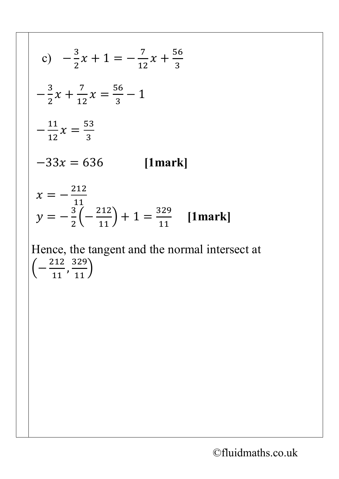c) 
$$
-\frac{3}{2}x + 1 = -\frac{7}{12}x + \frac{56}{3}
$$
  
\n $-\frac{3}{2}x + \frac{7}{12}x = \frac{56}{3} - 1$   
\n $-\frac{11}{12}x = \frac{53}{3}$   
\n $-33x = 636$  [1mark]  
\n $x = -\frac{212}{11}$   
\n $y = -\frac{3}{2}(-\frac{212}{11}) + 1 = \frac{329}{11}$  [1mark]  
\nHence, the tangent and the normal intersect at  $(-\frac{212}{11}, \frac{329}{11})$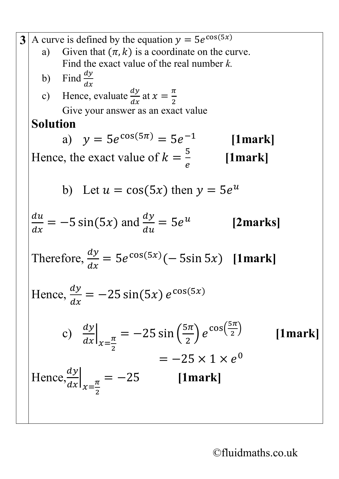3 A curve is defined by the equation 
$$
y = 5e^{\cos(5x)}
$$
  
\na) Given that  $(\pi, k)$  is a coordinate on the curve.  
\nFind the exact value of the real number k.  
\nb) Find  $\frac{dy}{dx}$   
\nc) Hence, evaluate  $\frac{dy}{dx}$  at  $x = \frac{\pi}{2}$   
\nGive your answer as an exact value  
\n**Solution**  
\na)  $y = 5e^{\cos(5\pi)} = 5e^{-1}$  [1mark]  
\nHence, the exact value of  $k = \frac{5}{e}$  [1mark]  
\nb) Let  $u = \cos(5x)$  then  $y = 5e^u$   
\n $\frac{du}{dx} = -5 \sin(5x)$  and  $\frac{dy}{du} = 5e^u$  [2marks]  
\nTherefore,  $\frac{dy}{dx} = 5e^{\cos(5x)}(-5\sin 5x)$  [1mark]  
\nHence,  $\frac{dy}{dx} = -25 \sin(5x) e^{\cos(5x)}$   
\nc)  $\frac{dy}{dx}|_{x = \frac{\pi}{2}} = -25 \sin(\frac{5\pi}{2}) e^{\cos(\frac{5\pi}{2})}$  [1mark]  
\n $= -25 \times 1 \times e^0$   
\nHence,  $\frac{dy}{dx}|_{x = \frac{\pi}{2}} = -25$  [1mark]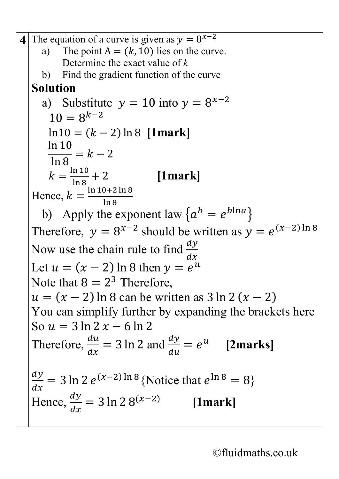**4** The equation of a curve is given as  $y = 8^{x-2}$ a) The point  $A = (k, 10)$  lies on the curve. Determine the exact value of *k* b) Find the gradient function of the curve **Solution**  a) Substitute  $y = 10$  into  $y = 8^{x-2}$  $10 = 8^{k-2}$  $ln 10 = (k - 2) ln 8$  [1mark] ln 10 ln 8  $= k - 2$  $k=$ ln 10 ln 8 + 2 **[1mark]** Hence,  $k = \frac{\ln 10 + 2 \ln 8}{\ln 8}$ ln 8 b) Apply the exponent law  $\{a^b = e^{b \ln a}\}\$ Therefore,  $y = 8^{x-2}$  should be written as  $y = e^{(x-2)\ln 8}$ Now use the chain rule to find  $\frac{dy}{dx}$  $\boldsymbol{d}$ Let  $u = (x - 2) \ln 8$  then  $y = e$ Note that  $8 = 2^3$  Therefore,  $u = (x - 2) \ln 8$  can be written as  $3 \ln 2 (x - 2)$ You can simplify further by expanding the brackets here So  $u = 3 \ln 2 x - 6 \ln 2$ Therefore,  $\frac{du}{dx}$  $\boldsymbol{d}$  $= 3 \ln 2$  and  $\frac{dy}{du}$  $du$  $= e^u$  [2marks]  $\frac{dy}{dx}$  = 3 ln 2  $e^{(x-2)\ln 8}$  {Notice that  $e^{\ln 8}$  = 8}  $\boldsymbol{d}$ Hence,  $\frac{dy}{dx}$  $\boldsymbol{d}$  $= 3 \ln 2 8^{(x-2)}$ **[1mark]**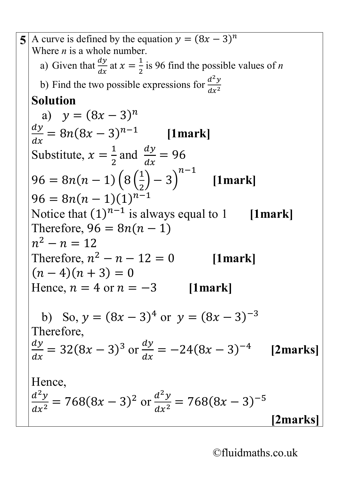**5** A curve is defined by the equation  $y = (8x - 3)^n$ Where *n* is a whole number. a) Given that  $\frac{dy}{dx}$  $\frac{dy}{dx}$  at  $x = \frac{1}{2}$ 2 is 96 find the possible values of *n* b) Find the two possible expressions for  $\frac{d^2}{dx^2}$  $dx^2$ **Solution**  a)  $y = (8x - 3)^n$ <u>dy</u>  $\boldsymbol{d}$  $= 8n(8x - 3)^{n-1}$  [1mark] Substitute,  $x = \frac{1}{2}$ 2 and  $\frac{dy}{dx}$  $\boldsymbol{d}$  $= 96$  $96 = 8n(n - 1)\,8$  $\overline{\mathsf{I}}$ 2  $(-3)$  $n-1$  **[1mark]**  $96 = 8n(n-1)(1)^{n-1}$ Notice that  $(1)^{n-1}$  is always equal to 1 [1mark] Therefore,  $96 = 8n(n - 1)$  $n^2 - n = 12$ Therefore,  $n^2 - n - 12 = 0$  [1mark]  $(n-4)(n+3) = 0$ Hence,  $n = 4$  or  $n = -3$  [1mark] b) So,  $y = (8x - 3)^4$  or  $y = (8x - 3)^{-3}$ Therefore, <u>dy</u>  $\boldsymbol{d}$  $= 32(8x-3)^3$  or  $\frac{dy}{dx}$  $\boldsymbol{d}$  $= -24(8x - 3)^{-4}$  [2marks] Hence,  $\frac{d^2}{2}$  $dx^2$  $= 768(8x - 3)^2$  or  $\frac{d^2}{2}$  $dx^2$  $= 768(8x - 3)^{-5}$ **[2marks]**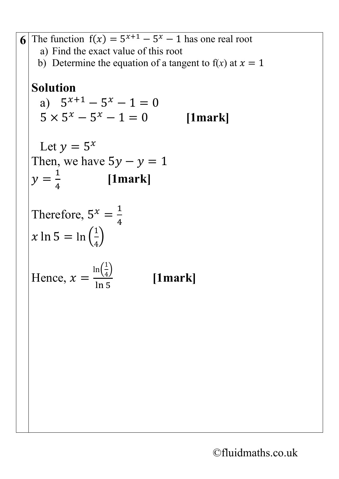**6** The function  $f(x) = 5^{x+1} - 5^x - 1$  has one real root a) Find the exact value of this root b) Determine the equation of a tangent to  $f(x)$  at  $x = 1$ **Solution** a)  $5^{x+1} - 5^x - 1 = 0$ <br> $5 \times 5^x - 5^x - 1 = 0$  [1mark]  $5 \times 5^x - 5^x - 1 = 0$ Let  $y = 5^x$ Then, we have  $5y - y = 1$  $y =$  $\frac{1}{4}$  [1mark] Therefore,  $5^x = \frac{1}{4}$ 4  $x \ln 5 = \ln \left( \frac{1}{2} \right)$  $\frac{1}{1}$  $\frac{1}{4}$ Hence,  $x =$  $\ln\left(\frac{1}{4}\right)$  $\frac{1}{4}$ **[1mark]**